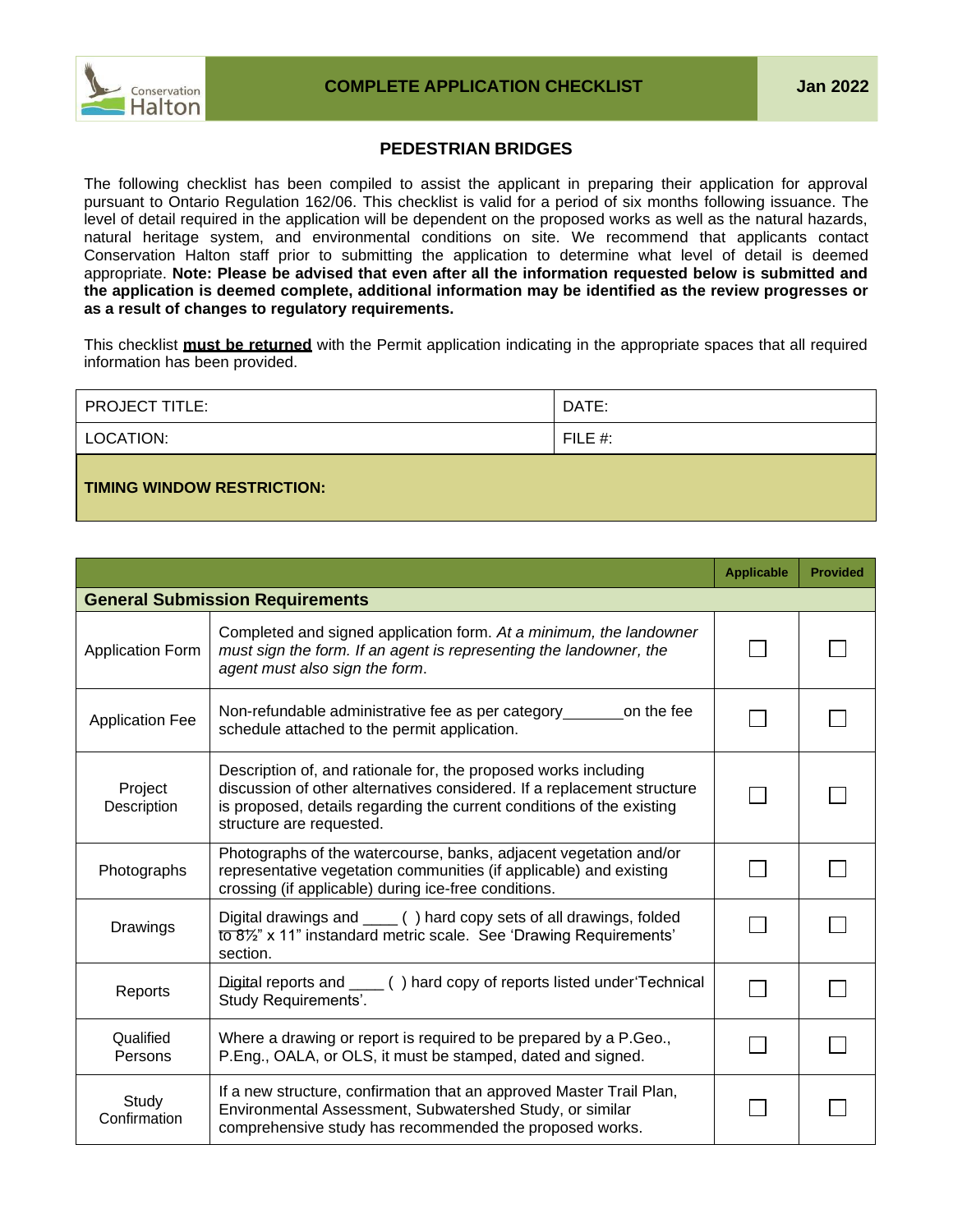## **PEDESTRIAN BRIDGES**

The following checklist has been compiled to assist the applicant in preparing their application for approval pursuant to Ontario Regulation 162/06. This checklist is valid for a period of six months following issuance. The level of detail required in the application will be dependent on the proposed works as well as the natural hazards, natural heritage system, and environmental conditions on site. We recommend that applicants contact Conservation Halton staff prior to submitting the application to determine what level of detail is deemed appropriate. **Note: Please be advised that even after all the information requested below is submitted and the application is deemed complete, additional information may be identified as the review progresses or as a result of changes to regulatory requirements.**

This checklist **must be returned** with the Permit application indicating in the appropriate spaces that all required information has been provided.

| <b>PROJECT TITLE:</b>             | DATE:      |
|-----------------------------------|------------|
| LOCATION:                         | FILE $#$ : |
| <b>TIMING WINDOW RESTRICTION:</b> |            |

|                         |                                                                                                                                                                                                                                                 | <b>Applicable</b> | <b>Provided</b> |
|-------------------------|-------------------------------------------------------------------------------------------------------------------------------------------------------------------------------------------------------------------------------------------------|-------------------|-----------------|
|                         | <b>General Submission Requirements</b>                                                                                                                                                                                                          |                   |                 |
| <b>Application Form</b> | Completed and signed application form. At a minimum, the landowner<br>must sign the form. If an agent is representing the landowner, the<br>agent must also sign the form.                                                                      |                   |                 |
| <b>Application Fee</b>  | Non-refundable administrative fee as per category<br>on the fee<br>schedule attached to the permit application.                                                                                                                                 |                   |                 |
| Project<br>Description  | Description of, and rationale for, the proposed works including<br>discussion of other alternatives considered. If a replacement structure<br>is proposed, details regarding the current conditions of the existing<br>structure are requested. |                   |                 |
| Photographs             | Photographs of the watercourse, banks, adjacent vegetation and/or<br>representative vegetation communities (if applicable) and existing<br>crossing (if applicable) during ice-free conditions.                                                 |                   |                 |
| Drawings                | Digital drawings and ____ () hard copy sets of all drawings, folded<br>to 8 <sup>1/2</sup> " x 11" instandard metric scale. See 'Drawing Requirements'<br>section.                                                                              |                   |                 |
| Reports                 | Digital reports and ____ () hard copy of reports listed under 'Technical<br>Study Requirements'.                                                                                                                                                |                   |                 |
| Qualified<br>Persons    | Where a drawing or report is required to be prepared by a P.Geo.,<br>P.Eng., OALA, or OLS, it must be stamped, dated and signed.                                                                                                                |                   |                 |
| Study<br>Confirmation   | If a new structure, confirmation that an approved Master Trail Plan,<br>Environmental Assessment, Subwatershed Study, or similar<br>comprehensive study has recommended the proposed works.                                                     |                   |                 |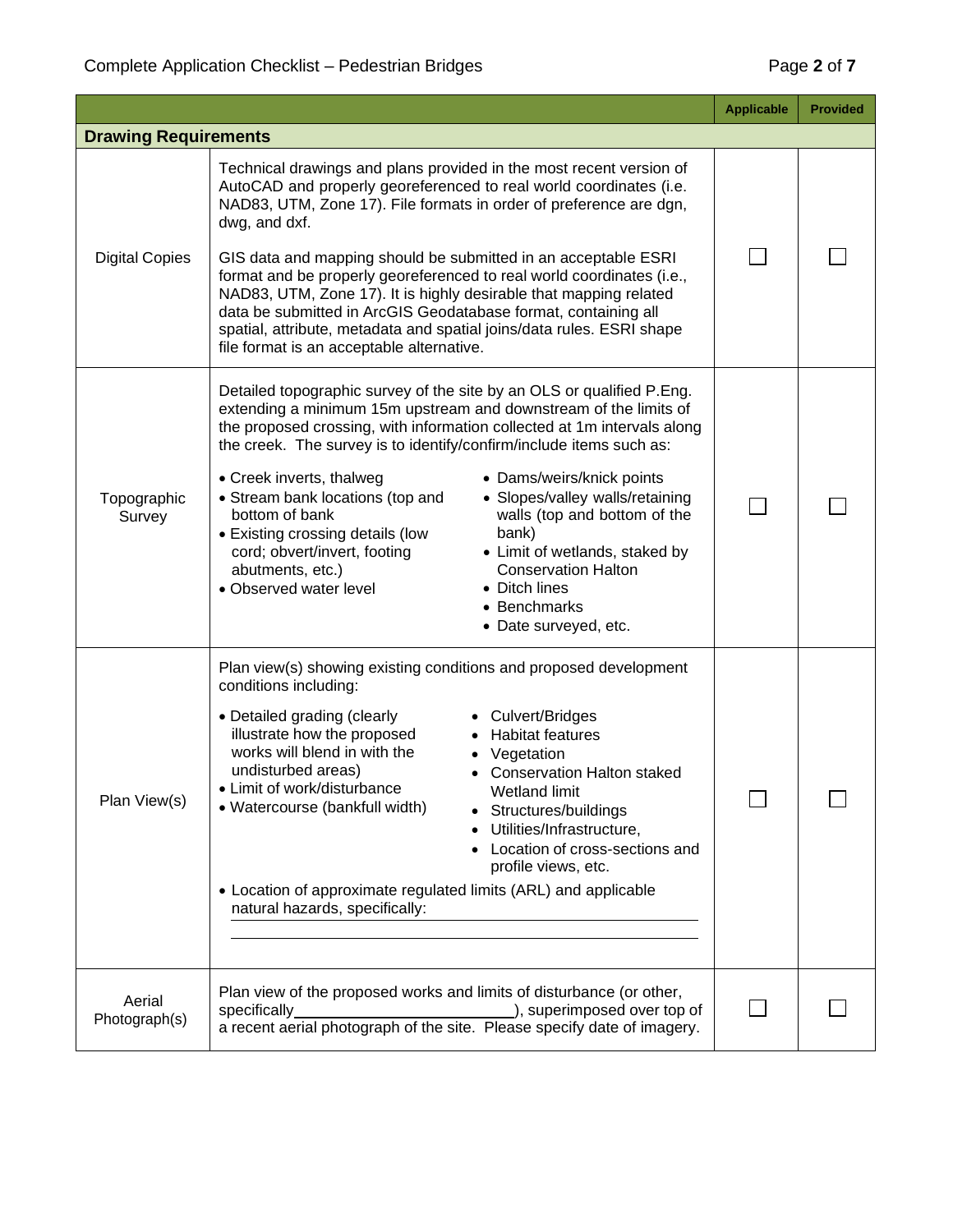|                             |                                                                                                                                                                                                                                                                                                                                                                                                                                                                                                                                                                                                                                                                                                                                    | <b>Applicable</b> | <b>Provided</b> |  |
|-----------------------------|------------------------------------------------------------------------------------------------------------------------------------------------------------------------------------------------------------------------------------------------------------------------------------------------------------------------------------------------------------------------------------------------------------------------------------------------------------------------------------------------------------------------------------------------------------------------------------------------------------------------------------------------------------------------------------------------------------------------------------|-------------------|-----------------|--|
| <b>Drawing Requirements</b> |                                                                                                                                                                                                                                                                                                                                                                                                                                                                                                                                                                                                                                                                                                                                    |                   |                 |  |
| <b>Digital Copies</b>       | Technical drawings and plans provided in the most recent version of<br>AutoCAD and properly georeferenced to real world coordinates (i.e.<br>NAD83, UTM, Zone 17). File formats in order of preference are dgn,<br>dwg, and dxf.<br>GIS data and mapping should be submitted in an acceptable ESRI<br>format and be properly georeferenced to real world coordinates (i.e.,<br>NAD83, UTM, Zone 17). It is highly desirable that mapping related<br>data be submitted in ArcGIS Geodatabase format, containing all<br>spatial, attribute, metadata and spatial joins/data rules. ESRI shape<br>file format is an acceptable alternative.                                                                                           |                   |                 |  |
| Topographic<br>Survey       | Detailed topographic survey of the site by an OLS or qualified P.Eng.<br>extending a minimum 15m upstream and downstream of the limits of<br>the proposed crossing, with information collected at 1m intervals along<br>the creek. The survey is to identify/confirm/include items such as:<br>• Creek inverts, thalweg<br>• Dams/weirs/knick points<br>• Slopes/valley walls/retaining<br>• Stream bank locations (top and<br>bottom of bank<br>walls (top and bottom of the<br>bank)<br>• Existing crossing details (low<br>cord; obvert/invert, footing<br>• Limit of wetlands, staked by<br><b>Conservation Halton</b><br>abutments, etc.)<br>• Observed water level<br>• Ditch lines<br>• Benchmarks<br>• Date surveyed, etc. |                   |                 |  |
| Plan View(s)                | Plan view(s) showing existing conditions and proposed development<br>conditions including:<br>• Culvert/Bridges<br>• Detailed grading (clearly<br>illustrate how the proposed<br><b>Habitat features</b><br>works will blend in with the<br>Vegetation<br>undisturbed areas)<br><b>Conservation Halton staked</b><br>• Limit of work/disturbance<br>Wetland limit<br>• Watercourse (bankfull width)<br>Structures/buildings<br>Utilities/Infrastructure,<br>Location of cross-sections and<br>profile views, etc.<br>• Location of approximate regulated limits (ARL) and applicable<br>natural hazards, specifically:                                                                                                             | ┍                 |                 |  |
| Aerial<br>Photograph(s)     | Plan view of the proposed works and limits of disturbance (or other,<br>specifically<br>), superimposed over top of<br>a recent aerial photograph of the site. Please specify date of imagery.                                                                                                                                                                                                                                                                                                                                                                                                                                                                                                                                     |                   |                 |  |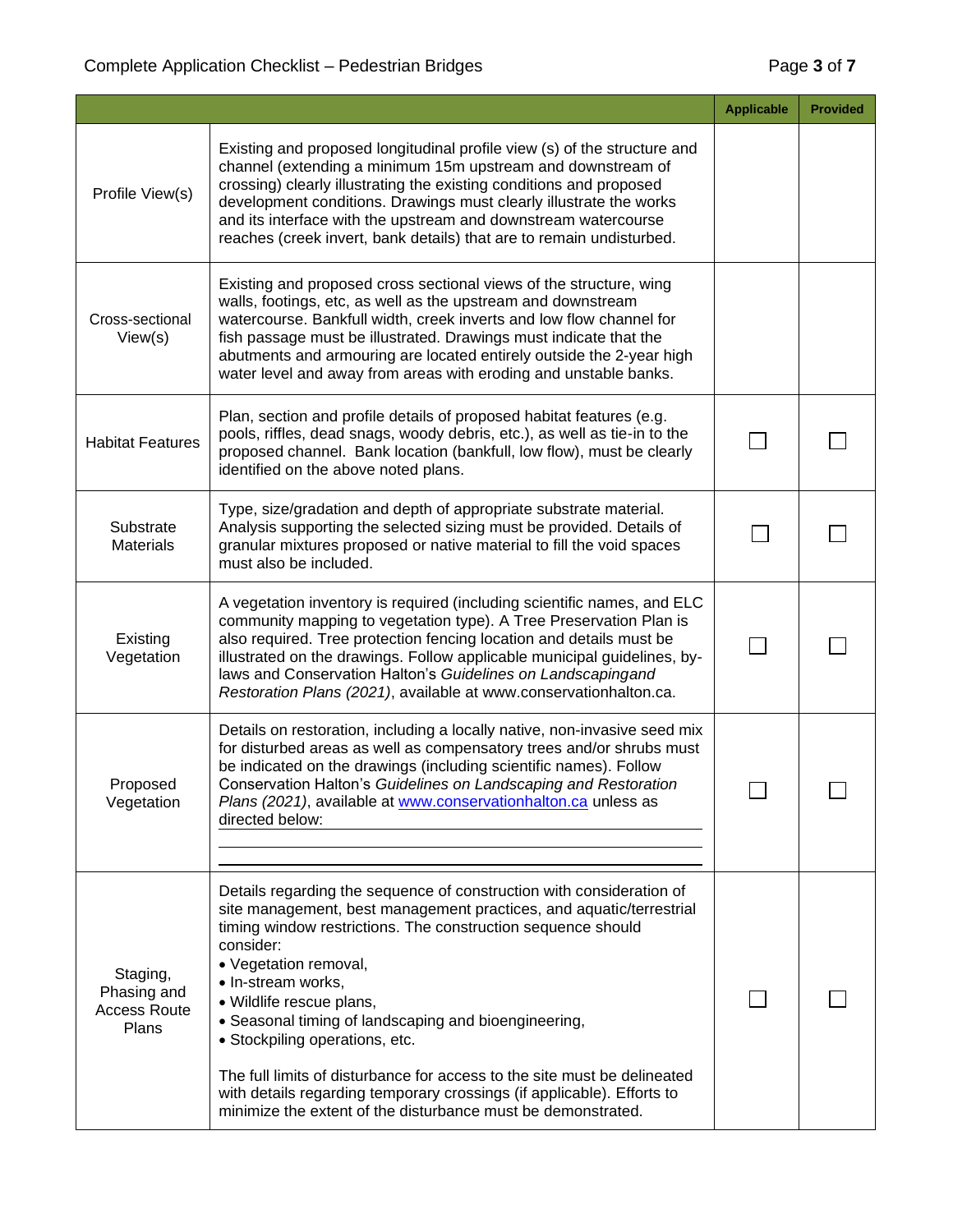|                                                         |                                                                                                                                                                                                                                                                                                                                                                                                                                                                                                                                                                                                                     | <b>Applicable</b> | <b>Provided</b> |
|---------------------------------------------------------|---------------------------------------------------------------------------------------------------------------------------------------------------------------------------------------------------------------------------------------------------------------------------------------------------------------------------------------------------------------------------------------------------------------------------------------------------------------------------------------------------------------------------------------------------------------------------------------------------------------------|-------------------|-----------------|
| Profile View(s)                                         | Existing and proposed longitudinal profile view (s) of the structure and<br>channel (extending a minimum 15m upstream and downstream of<br>crossing) clearly illustrating the existing conditions and proposed<br>development conditions. Drawings must clearly illustrate the works<br>and its interface with the upstream and downstream watercourse<br>reaches (creek invert, bank details) that are to remain undisturbed.                                                                                                                                                                                      |                   |                 |
| Cross-sectional<br>View(s)                              | Existing and proposed cross sectional views of the structure, wing<br>walls, footings, etc, as well as the upstream and downstream<br>watercourse. Bankfull width, creek inverts and low flow channel for<br>fish passage must be illustrated. Drawings must indicate that the<br>abutments and armouring are located entirely outside the 2-year high<br>water level and away from areas with eroding and unstable banks.                                                                                                                                                                                          |                   |                 |
| <b>Habitat Features</b>                                 | Plan, section and profile details of proposed habitat features (e.g.<br>pools, riffles, dead snags, woody debris, etc.), as well as tie-in to the<br>proposed channel. Bank location (bankfull, low flow), must be clearly<br>identified on the above noted plans.                                                                                                                                                                                                                                                                                                                                                  |                   |                 |
| Substrate<br><b>Materials</b>                           | Type, size/gradation and depth of appropriate substrate material.<br>Analysis supporting the selected sizing must be provided. Details of<br>granular mixtures proposed or native material to fill the void spaces<br>must also be included.                                                                                                                                                                                                                                                                                                                                                                        |                   |                 |
| Existing<br>Vegetation                                  | A vegetation inventory is required (including scientific names, and ELC<br>community mapping to vegetation type). A Tree Preservation Plan is<br>also required. Tree protection fencing location and details must be<br>illustrated on the drawings. Follow applicable municipal guidelines, by-<br>laws and Conservation Halton's Guidelines on Landscapingand<br>Restoration Plans (2021), available at www.conservationhalton.ca.                                                                                                                                                                                |                   |                 |
| Proposed<br>Vegetation                                  | Details on restoration, including a locally native, non-invasive seed mix<br>for disturbed areas as well as compensatory trees and/or shrubs must<br>be indicated on the drawings (including scientific names). Follow<br>Conservation Halton's Guidelines on Landscaping and Restoration<br>Plans (2021), available at www.conservationhalton.ca unless as<br>directed below:                                                                                                                                                                                                                                      |                   |                 |
| Staging,<br>Phasing and<br><b>Access Route</b><br>Plans | Details regarding the sequence of construction with consideration of<br>site management, best management practices, and aquatic/terrestrial<br>timing window restrictions. The construction sequence should<br>consider:<br>• Vegetation removal,<br>· In-stream works,<br>· Wildlife rescue plans,<br>• Seasonal timing of landscaping and bioengineering,<br>• Stockpiling operations, etc.<br>The full limits of disturbance for access to the site must be delineated<br>with details regarding temporary crossings (if applicable). Efforts to<br>minimize the extent of the disturbance must be demonstrated. |                   |                 |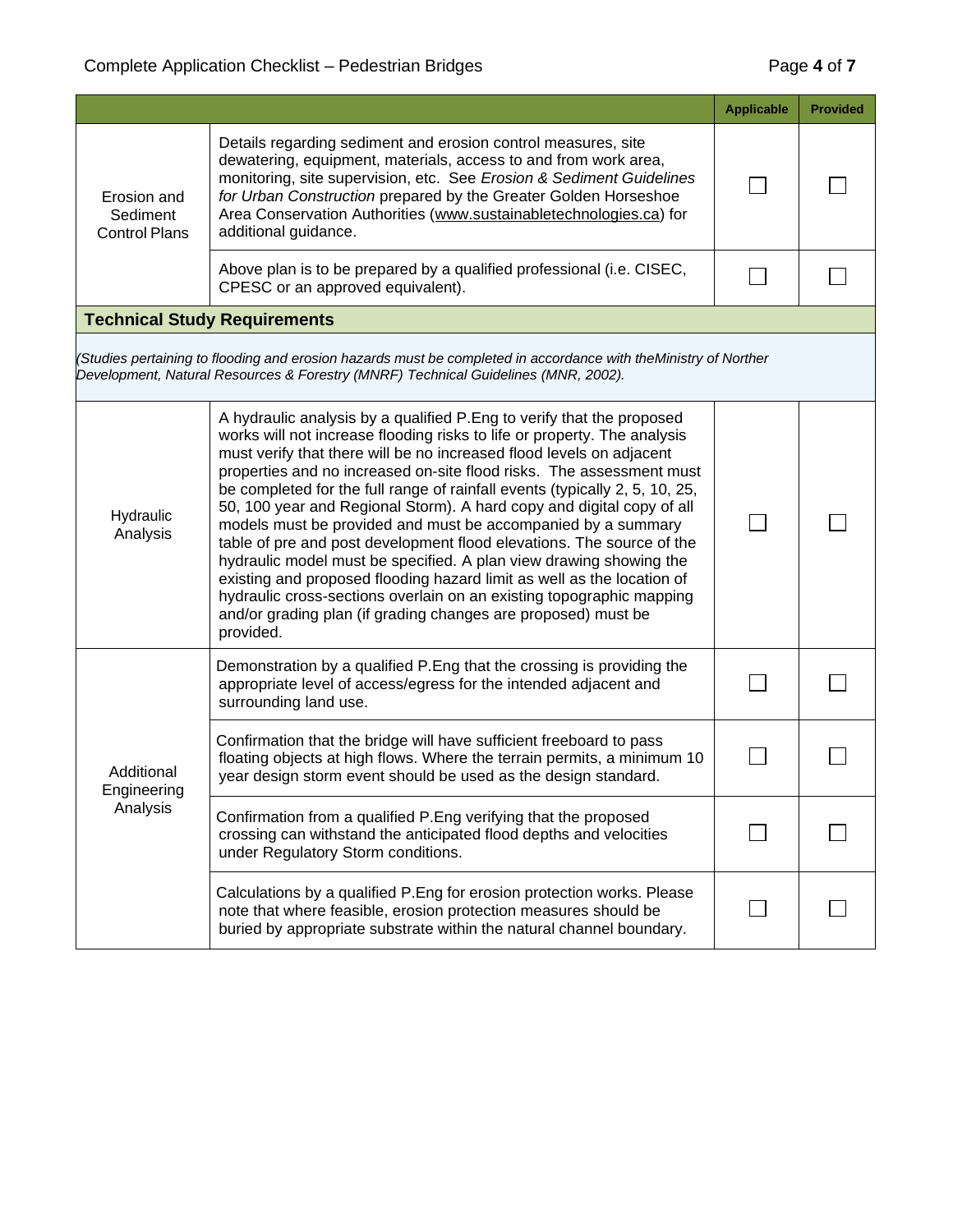|                                                 |                                                                                                                                                                                                                                                                                                                                                                                                                                                                                                                                                                                                                                                                                                                                                                                                                                                                                                           | <b>Applicable</b> | <b>Provided</b> |
|-------------------------------------------------|-----------------------------------------------------------------------------------------------------------------------------------------------------------------------------------------------------------------------------------------------------------------------------------------------------------------------------------------------------------------------------------------------------------------------------------------------------------------------------------------------------------------------------------------------------------------------------------------------------------------------------------------------------------------------------------------------------------------------------------------------------------------------------------------------------------------------------------------------------------------------------------------------------------|-------------------|-----------------|
| Erosion and<br>Sediment<br><b>Control Plans</b> | Details regarding sediment and erosion control measures, site<br>dewatering, equipment, materials, access to and from work area,<br>monitoring, site supervision, etc. See Erosion & Sediment Guidelines<br>for Urban Construction prepared by the Greater Golden Horseshoe<br>Area Conservation Authorities (www.sustainabletechnologies.ca) for<br>additional guidance.                                                                                                                                                                                                                                                                                                                                                                                                                                                                                                                                 |                   |                 |
|                                                 | Above plan is to be prepared by a qualified professional (i.e. CISEC,<br>CPESC or an approved equivalent).                                                                                                                                                                                                                                                                                                                                                                                                                                                                                                                                                                                                                                                                                                                                                                                                |                   |                 |
|                                                 | <b>Technical Study Requirements</b>                                                                                                                                                                                                                                                                                                                                                                                                                                                                                                                                                                                                                                                                                                                                                                                                                                                                       |                   |                 |
|                                                 | Studies pertaining to flooding and erosion hazards must be completed in accordance with theMinistry of Norther<br>Development, Natural Resources & Forestry (MNRF) Technical Guidelines (MNR, 2002).                                                                                                                                                                                                                                                                                                                                                                                                                                                                                                                                                                                                                                                                                                      |                   |                 |
| Hydraulic<br>Analysis                           | A hydraulic analysis by a qualified P. Eng to verify that the proposed<br>works will not increase flooding risks to life or property. The analysis<br>must verify that there will be no increased flood levels on adjacent<br>properties and no increased on-site flood risks. The assessment must<br>be completed for the full range of rainfall events (typically 2, 5, 10, 25,<br>50, 100 year and Regional Storm). A hard copy and digital copy of all<br>models must be provided and must be accompanied by a summary<br>table of pre and post development flood elevations. The source of the<br>hydraulic model must be specified. A plan view drawing showing the<br>existing and proposed flooding hazard limit as well as the location of<br>hydraulic cross-sections overlain on an existing topographic mapping<br>and/or grading plan (if grading changes are proposed) must be<br>provided. |                   |                 |
| Additional<br>Engineering<br>Analysis           | Demonstration by a qualified P. Eng that the crossing is providing the<br>appropriate level of access/egress for the intended adjacent and<br>surrounding land use.                                                                                                                                                                                                                                                                                                                                                                                                                                                                                                                                                                                                                                                                                                                                       |                   |                 |
|                                                 | Confirmation that the bridge will have sufficient freeboard to pass<br>floating objects at high flows. Where the terrain permits, a minimum 10<br>year design storm event should be used as the design standard.                                                                                                                                                                                                                                                                                                                                                                                                                                                                                                                                                                                                                                                                                          |                   |                 |
|                                                 | Confirmation from a qualified P. Eng verifying that the proposed<br>crossing can withstand the anticipated flood depths and velocities<br>under Regulatory Storm conditions.                                                                                                                                                                                                                                                                                                                                                                                                                                                                                                                                                                                                                                                                                                                              |                   |                 |
|                                                 | Calculations by a qualified P. Eng for erosion protection works. Please<br>note that where feasible, erosion protection measures should be<br>buried by appropriate substrate within the natural channel boundary.                                                                                                                                                                                                                                                                                                                                                                                                                                                                                                                                                                                                                                                                                        |                   |                 |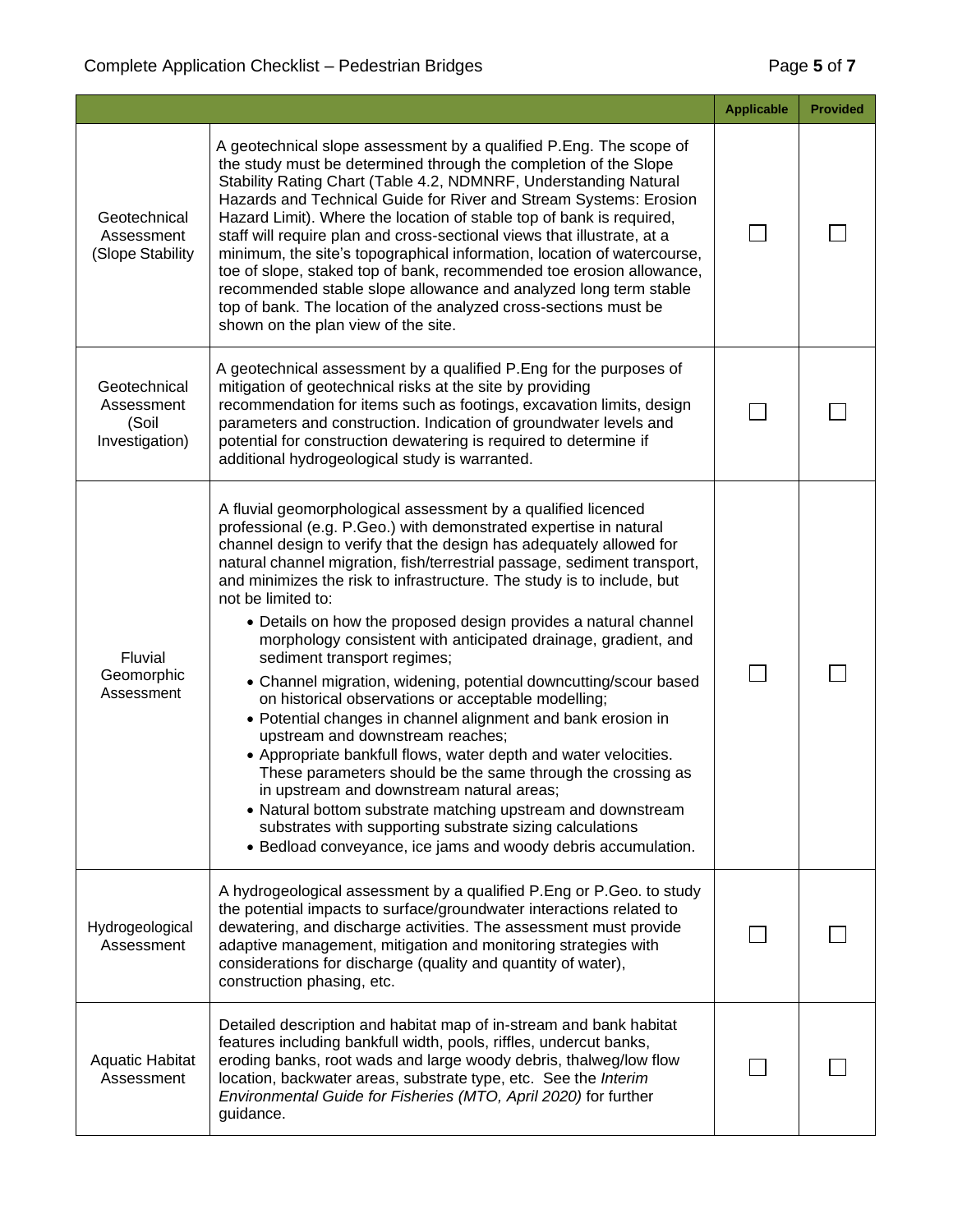|                                                       |                                                                                                                                                                                                                                                                                                                                                                                                                                                                                                                                                                                                                                                                                                                                                                                                                                                                                                                                                                                                                                                                                                                                                                     | <b>Applicable</b> | <b>Provided</b> |
|-------------------------------------------------------|---------------------------------------------------------------------------------------------------------------------------------------------------------------------------------------------------------------------------------------------------------------------------------------------------------------------------------------------------------------------------------------------------------------------------------------------------------------------------------------------------------------------------------------------------------------------------------------------------------------------------------------------------------------------------------------------------------------------------------------------------------------------------------------------------------------------------------------------------------------------------------------------------------------------------------------------------------------------------------------------------------------------------------------------------------------------------------------------------------------------------------------------------------------------|-------------------|-----------------|
| Geotechnical<br>Assessment<br>(Slope Stability        | A geotechnical slope assessment by a qualified P.Eng. The scope of<br>the study must be determined through the completion of the Slope<br>Stability Rating Chart (Table 4.2, NDMNRF, Understanding Natural<br>Hazards and Technical Guide for River and Stream Systems: Erosion<br>Hazard Limit). Where the location of stable top of bank is required,<br>staff will require plan and cross-sectional views that illustrate, at a<br>minimum, the site's topographical information, location of watercourse,<br>toe of slope, staked top of bank, recommended toe erosion allowance,<br>recommended stable slope allowance and analyzed long term stable<br>top of bank. The location of the analyzed cross-sections must be<br>shown on the plan view of the site.                                                                                                                                                                                                                                                                                                                                                                                                |                   |                 |
| Geotechnical<br>Assessment<br>(Soil<br>Investigation) | A geotechnical assessment by a qualified P.Eng for the purposes of<br>mitigation of geotechnical risks at the site by providing<br>recommendation for items such as footings, excavation limits, design<br>parameters and construction. Indication of groundwater levels and<br>potential for construction dewatering is required to determine if<br>additional hydrogeological study is warranted.                                                                                                                                                                                                                                                                                                                                                                                                                                                                                                                                                                                                                                                                                                                                                                 |                   |                 |
| Fluvial<br>Geomorphic<br>Assessment                   | A fluvial geomorphological assessment by a qualified licenced<br>professional (e.g. P.Geo.) with demonstrated expertise in natural<br>channel design to verify that the design has adequately allowed for<br>natural channel migration, fish/terrestrial passage, sediment transport,<br>and minimizes the risk to infrastructure. The study is to include, but<br>not be limited to:<br>• Details on how the proposed design provides a natural channel<br>morphology consistent with anticipated drainage, gradient, and<br>sediment transport regimes;<br>• Channel migration, widening, potential downcutting/scour based<br>on historical observations or acceptable modelling;<br>• Potential changes in channel alignment and bank erosion in<br>upstream and downstream reaches;<br>• Appropriate bankfull flows, water depth and water velocities.<br>These parameters should be the same through the crossing as<br>in upstream and downstream natural areas;<br>• Natural bottom substrate matching upstream and downstream<br>substrates with supporting substrate sizing calculations<br>• Bedload conveyance, ice jams and woody debris accumulation. |                   |                 |
| Hydrogeological<br>Assessment                         | A hydrogeological assessment by a qualified P.Eng or P.Geo. to study<br>the potential impacts to surface/groundwater interactions related to<br>dewatering, and discharge activities. The assessment must provide<br>adaptive management, mitigation and monitoring strategies with<br>considerations for discharge (quality and quantity of water),<br>construction phasing, etc.                                                                                                                                                                                                                                                                                                                                                                                                                                                                                                                                                                                                                                                                                                                                                                                  |                   |                 |
| <b>Aquatic Habitat</b><br>Assessment                  | Detailed description and habitat map of in-stream and bank habitat<br>features including bankfull width, pools, riffles, undercut banks,<br>eroding banks, root wads and large woody debris, thalweg/low flow<br>location, backwater areas, substrate type, etc. See the Interim<br>Environmental Guide for Fisheries (MTO, April 2020) for further<br>guidance.                                                                                                                                                                                                                                                                                                                                                                                                                                                                                                                                                                                                                                                                                                                                                                                                    |                   |                 |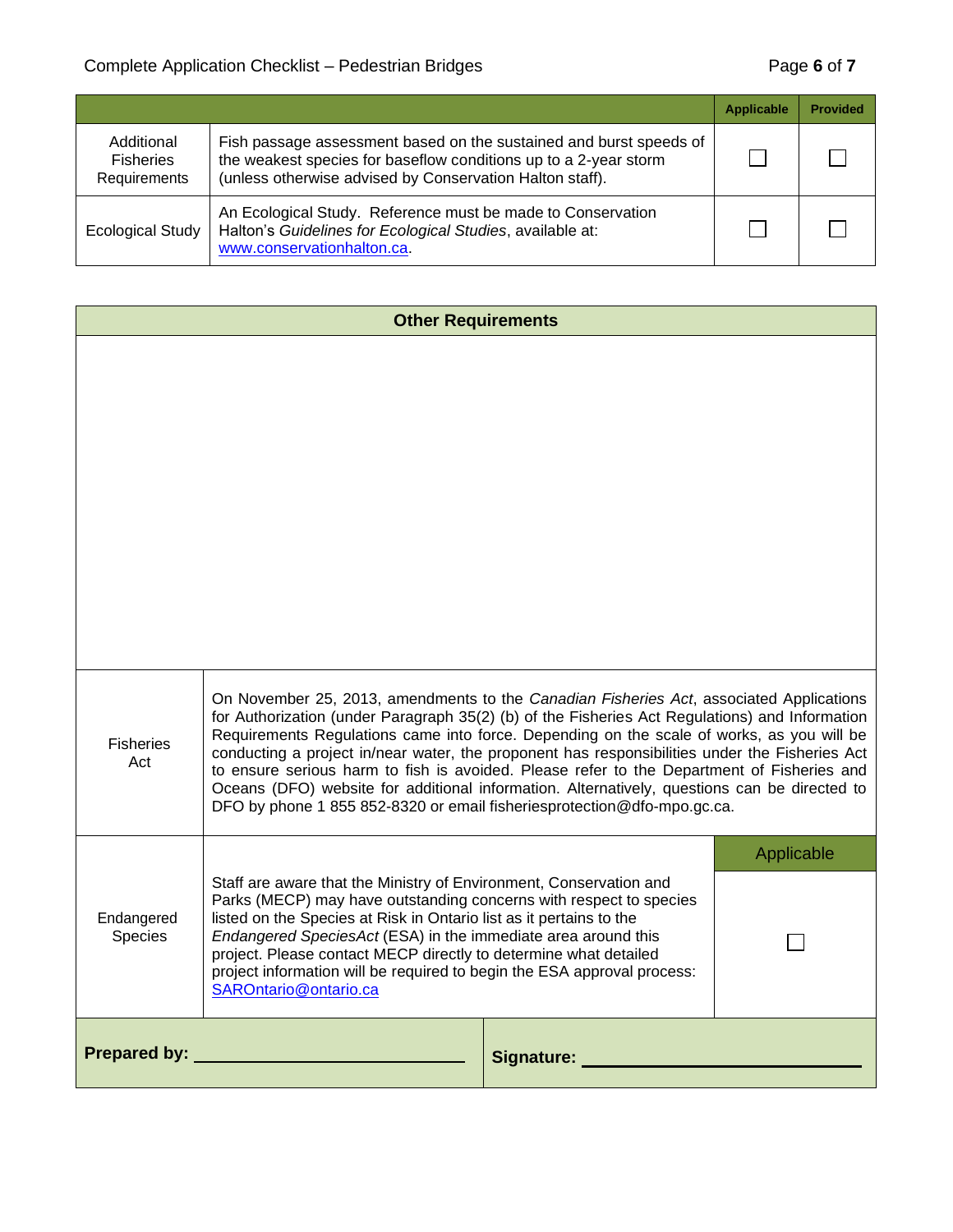|                                                |                                                                                                                                                                                                    | <b>Applicable</b> | <b>Provided</b> |
|------------------------------------------------|----------------------------------------------------------------------------------------------------------------------------------------------------------------------------------------------------|-------------------|-----------------|
| Additional<br><b>Fisheries</b><br>Requirements | Fish passage assessment based on the sustained and burst speeds of<br>the weakest species for baseflow conditions up to a 2-year storm<br>(unless otherwise advised by Conservation Halton staff). |                   |                 |
| <b>Ecological Study</b>                        | An Ecological Study. Reference must be made to Conservation<br>Halton's Guidelines for Ecological Studies, available at:<br>www.conservationhalton.ca.                                             |                   |                 |

| <b>Other Requirements</b>                                                                                                                                                                                                                                                                                                                                                                                                                                                                                                                                                                                                                                                                    |  |            |  |
|----------------------------------------------------------------------------------------------------------------------------------------------------------------------------------------------------------------------------------------------------------------------------------------------------------------------------------------------------------------------------------------------------------------------------------------------------------------------------------------------------------------------------------------------------------------------------------------------------------------------------------------------------------------------------------------------|--|------------|--|
|                                                                                                                                                                                                                                                                                                                                                                                                                                                                                                                                                                                                                                                                                              |  |            |  |
| On November 25, 2013, amendments to the Canadian Fisheries Act, associated Applications<br>for Authorization (under Paragraph 35(2) (b) of the Fisheries Act Regulations) and Information<br>Requirements Regulations came into force. Depending on the scale of works, as you will be<br><b>Fisheries</b><br>conducting a project in/near water, the proponent has responsibilities under the Fisheries Act<br>Act<br>to ensure serious harm to fish is avoided. Please refer to the Department of Fisheries and<br>Oceans (DFO) website for additional information. Alternatively, questions can be directed to<br>DFO by phone 1 855 852-8320 or email fisheriesprotection@dfo-mpo.gc.ca. |  |            |  |
| Staff are aware that the Ministry of Environment, Conservation and<br>Parks (MECP) may have outstanding concerns with respect to species<br>Endangered<br>listed on the Species at Risk in Ontario list as it pertains to the<br>Species<br>Endangered SpeciesAct (ESA) in the immediate area around this<br>project. Please contact MECP directly to determine what detailed<br>project information will be required to begin the ESA approval process:<br>SAROntario@ontario.ca                                                                                                                                                                                                            |  | Applicable |  |
| <b>Prepared by:</b>                                                                                                                                                                                                                                                                                                                                                                                                                                                                                                                                                                                                                                                                          |  | Signature: |  |